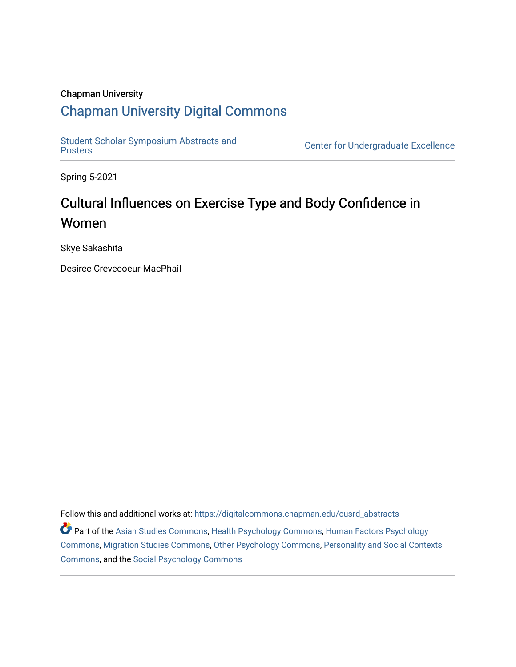## Chapman University

# [Chapman University Digital Commons](https://digitalcommons.chapman.edu/)

Student Scholar Symposium Abstracts and<br>Posters

Center for Undergraduate Excellence

Spring 5-2021

# Cultural Influences on Exercise Type and Body Confidence in Women

Skye Sakashita

Desiree Crevecoeur-MacPhail

Follow this and additional works at: [https://digitalcommons.chapman.edu/cusrd\\_abstracts](https://digitalcommons.chapman.edu/cusrd_abstracts?utm_source=digitalcommons.chapman.edu%2Fcusrd_abstracts%2F452&utm_medium=PDF&utm_campaign=PDFCoverPages) 

Part of the [Asian Studies Commons,](http://network.bepress.com/hgg/discipline/361?utm_source=digitalcommons.chapman.edu%2Fcusrd_abstracts%2F452&utm_medium=PDF&utm_campaign=PDFCoverPages) [Health Psychology Commons](http://network.bepress.com/hgg/discipline/411?utm_source=digitalcommons.chapman.edu%2Fcusrd_abstracts%2F452&utm_medium=PDF&utm_campaign=PDFCoverPages), [Human Factors Psychology](http://network.bepress.com/hgg/discipline/1412?utm_source=digitalcommons.chapman.edu%2Fcusrd_abstracts%2F452&utm_medium=PDF&utm_campaign=PDFCoverPages) [Commons](http://network.bepress.com/hgg/discipline/1412?utm_source=digitalcommons.chapman.edu%2Fcusrd_abstracts%2F452&utm_medium=PDF&utm_campaign=PDFCoverPages), [Migration Studies Commons](http://network.bepress.com/hgg/discipline/1394?utm_source=digitalcommons.chapman.edu%2Fcusrd_abstracts%2F452&utm_medium=PDF&utm_campaign=PDFCoverPages), [Other Psychology Commons](http://network.bepress.com/hgg/discipline/415?utm_source=digitalcommons.chapman.edu%2Fcusrd_abstracts%2F452&utm_medium=PDF&utm_campaign=PDFCoverPages), [Personality and Social Contexts](http://network.bepress.com/hgg/discipline/413?utm_source=digitalcommons.chapman.edu%2Fcusrd_abstracts%2F452&utm_medium=PDF&utm_campaign=PDFCoverPages)  [Commons](http://network.bepress.com/hgg/discipline/413?utm_source=digitalcommons.chapman.edu%2Fcusrd_abstracts%2F452&utm_medium=PDF&utm_campaign=PDFCoverPages), and the [Social Psychology Commons](http://network.bepress.com/hgg/discipline/414?utm_source=digitalcommons.chapman.edu%2Fcusrd_abstracts%2F452&utm_medium=PDF&utm_campaign=PDFCoverPages)